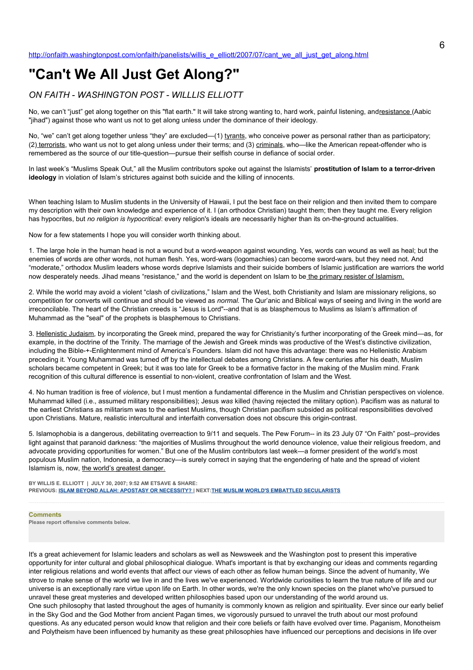## **"Can't We All Just Get Along?"**

## *ON FAITH - WASHINGTON POST - WILLLIS ELLIOTT*

No, we can't "just" get along together on this "flat earth." It will take strong wanting to, hard work, painful listening, and resistance (Aabic "jihad") against those who want us not to get along unless under the dominance of their ideology.

No, "we" can't get along together unless "they" are excluded—(1) tyrants, who conceive power as personal rather than as participatory; (2) terrorists, who want us not to get along unless under their terms; and (3) criminals, who—like the American repeat-offender who is remembered as the source of our title-question—pursue their selfish course in defiance of social order.

In last week's "Muslims Speak Out," all the Muslim contributors spoke out against the Islamists' **prostitution of Islam to a terror-driven ideology** in violation of Islam's strictures against both suicide and the killing of innocents.

When teaching Islam to Muslim students in the University of Hawaii, I put the best face on their religion and then invited them to compare my description with their own knowledge and experience of it. I (an orthodox Christian) taught them; then they taught me. Every religion has hypocrites, but *no religion is hypocritical*: every religion's ideals are necessarily higher than its on-the-ground actualities.

Now for a few statements I hope you will consider worth thinking about.

1. The large hole in the human head is not a wound but a word-weapon against wounding. Yes, words can wound as well as heal; but the enemies of words are other words, not human flesh. Yes, word-wars (logomachies) can become sword-wars, but they need not. And "moderate," orthodox Muslim leaders whose words deprive Islamists and their suicide bombers of Islamic justification are warriors the world now desperately needs. Jihad means "resistance," and the world is dependent on Islam to be the primary resister of Islamism.

2. While the world may avoid a violent "clash of civilizations," Islam and the West, both Christianity and Islam are missionary religions, so competition for converts will continue and should be viewed as *normal.* The Qur'anic and Biblical ways of seeing and living in the world are irreconcilable. The heart of the Christian creeds is "Jesus is Lord"--and that is as blasphemous to Muslims as Islam's affirmation of Muhammad as the "seal" of the prophets is blasphemous to Christians.

3. Hellenistic Judaism, by incorporating the Greek mind, prepared the way for Christianity's further incorporating of the Greek mind—as, for example, in the doctrine of the Trinity. The marriage of the Jewish and Greek minds was productive of the West's distinctive civilization, including the Bible-+-Enlightenment mind of America's Founders. Islam did not have this advantage: there was no Hellenistic Arabism preceding it. Young Muhammad was turned off by the intellectual debates among Christians. A few centuries after his death, Muslim scholars became competent in Greek; but it was too late for Greek to be a formative factor in the making of the Muslim mind. Frank recognition of this cultural difference is essential to non-violent, creative confrontation of Islam and the West.

4. No human tradition is free of *violence*, but I must mention a fundamental difference in the Muslim and Christian perspectives on violence. Muhammad killed (i.e., assumed military responsibilities); Jesus *was* killed (having rejected the military option). Pacifism was as natural to the earliest Christians as militarism was to the earliest Muslims, though Christian pacifism subsided as political responsibilities devolved upon Christians. Mature, realistic intercultural and interfaith conversation does not obscure this origin-contrast.

5. Islamophobia is a dangerous, debilitating overreaction to 9/11 and sequels. The Pew Forum-- in its 23 July 07 "On Faith" post--provides light against that paranoid darkness: "the majorities of Muslims throughout the world denounce violence, value their religious freedom, and advocate providing opportunities for women." But one of the Muslim contributors last week—a former president of the world's most populous Muslim nation, Indonesia, a democracy—is surely correct in saying that the engendering of hate and the spread of violent Islamism is, now, the world's greatest danger.

**BY WILLIS E. ELLIOTT | JULY 30, 2007; 9:52 AM ETSAVE & SHARE: PREVIOUS: [ISLAM BEYOND ALLAH: APOSTASY OR NECESSITY?](http://onfaith.washingtonpost.com/onfaith/panelists/greg_m_epstein/2007/07/islam_beyond_allah_apostasy_or.html) | NEXT[:THE MUSLIM WORLD'S EMBATTLED SECULARISTS](http://onfaith.washingtonpost.com/onfaith/panelists/christopher_dickey/2007/07/the_muslim_worlds_embattled_se_2.html)**

## **Comments**

**Please report offensive comments below.**

It's a great achievement for Islamic leaders and scholars as well as Newsweek and the Washington post to present this imperative opportunity for inter cultural and global philosophical dialogue. What's important is that by exchanging our ideas and comments regarding inter religious relations and world events that affect our views of each other as fellow human beings. Since the advent of humanity, We strove to make sense of the world we live in and the lives we've experienced. Worldwide curiosities to learn the true nature of life and our universe is an exceptionally rare virtue upon life on Earth. In other words, we're the only known species on the planet who've pursued to unravel these great mysteries and developed written philosophies based upon our understanding of the world around us. One such philosophy that lasted throughout the ages of humanity is commonly known as religion and spirituality. Ever since our early belief in the Sky God and the God Mother from ancient Pagan times, we vigorously pursued to unravel the truth about our most profound questions. As any educated person would know that religion and their core beliefs or faith have evolved over time. Paganism, Monotheism and Polytheism have been influenced by humanity as these great philosophies have influenced our perceptions and decisions in life over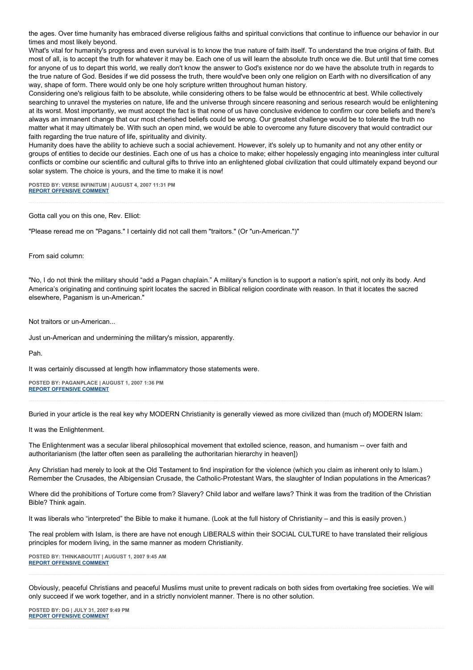the ages. Over time humanity has embraced diverse religious faiths and spiritual convictions that continue to influence our behavior in our times and most likely beyond.

What's vital for humanity's progress and even survival is to know the true nature of faith itself. To understand the true origins of faith. But most of all, is to accept the truth for whatever it may be. Each one of us will learn the absolute truth once we die. But until that time comes for anyone of us to depart this world, we really don't know the answer to God's existence nor do we have the absolute truth in regards to the true nature of God. Besides if we did possess the truth, there would've been only one religion on Earth with no diversification of any way, shape of form. There would only be one holy scripture written throughout human history.

Considering one's religious faith to be absolute, while considering others to be false would be ethnocentric at best. While collectively searching to unravel the mysteries on nature, life and the universe through sincere reasoning and serious research would be enlightening at its worst. Most importantly, we must accept the fact is that none of us have conclusive evidence to confirm our core beliefs and there's always an immanent change that our most cherished beliefs could be wrong. Our greatest challenge would be to tolerate the truth no matter what it may ultimately be. With such an open mind, we would be able to overcome any future discovery that would contradict our faith regarding the true nature of life, spirituality and divinity.

Humanity does have the ability to achieve such a social achievement. However, it's solely up to humanity and not any other entity or groups of entities to decide our destinies. Each one of us has a choice to make; either hopelessly engaging into meaningless inter cultural conflicts or combine our scientific and cultural gifts to thrive into an enlightened global civilization that could ultimately expand beyond our solar system. The choice is yours, and the time to make it is now!

**POSTED BY: VERSE INFINITUM | AUGUST 4, 2007 11:31 PM [REPORT OFFENSIVE COMMENT](mailto:blogs@washingtonpost.com?subject=On%20Faith%20Panelists%20Blog%20%20%7C%20%20Verse%20Infinitum%20%20%7C%20%20)**

Gotta call you on this one, Rev. Elliot:

"Please reread me on "Pagans." I certainly did not call them "traitors." (Or "un-American.")"

From said column:

"No, I do not think the military should "add a Pagan chaplain." A military's function is to support a nation's spirit, not only its body. And America's originating and continuing spirit locates the sacred in Biblical religion coordinate with reason. In that it locates the sacred elsewhere, Paganism is un-American."

Not traitors or un-American...

Just un-American and undermining the military's mission, apparently.

Pah.

It was certainly discussed at length how inflammatory those statements were.

**POSTED BY: PAGANPLACE | AUGUST 1, 2007 1:36 PM [REPORT OFFENSIVE COMMENT](mailto:blogs@washingtonpost.com?subject=On%20Faith%20Panelists%20Blog%20%20%7C%20%20Paganplace%20%20%7C%20%20)**

Buried in your article is the real key why MODERN Christianity is generally viewed as more civilized than (much of) MODERN Islam:

It was the Enlightenment.

The Enlightenment was a secular liberal philosophical movement that extolled science, reason, and humanism -- over faith and authoritarianism (the latter often seen as paralleling the authoritarian hierarchy in heaven])

Any Christian had merely to look at the Old Testament to find inspiration for the violence (which you claim as inherent only to Islam.) Remember the Crusades, the Albigensian Crusade, the Catholic-Protestant Wars, the slaughter of Indian populations in the Americas?

Where did the prohibitions of Torture come from? Slavery? Child labor and welfare laws? Think it was from the tradition of the Christian Bible? Think again.

It was liberals who "interpreted" the Bible to make it humane. (Look at the full history of Christianity – and this is easily proven.)

The real problem with Islam, is there are have not enough LIBERALS within their SOCIAL CULTURE to have translated their religious principles for modern living, in the same manner as modern Christianity.

**POSTED BY: THINKABOUTIT | AUGUST 1, 2007 9:45 AM [REPORT OFFENSIVE COMMENT](mailto:blogs@washingtonpost.com?subject=On%20Faith%20Panelists%20Blog%20%20%7C%20%20ThinkAboutIt%20%20%7C%20%20)**

Obviously, peaceful Christians and peaceful Muslims must unite to prevent radicals on both sides from overtaking free societies. We will only succeed if we work together, and in a strictly nonviolent manner. There is no other solution.

**POSTED BY: DG | JULY 31, 2007 9:49 PM [REPORT OFFENSIVE COMMENT](mailto:blogs@washingtonpost.com?subject=On%20Faith%20Panelists%20Blog%20%20%7C%20%20dg%20%20%7C%20%20)**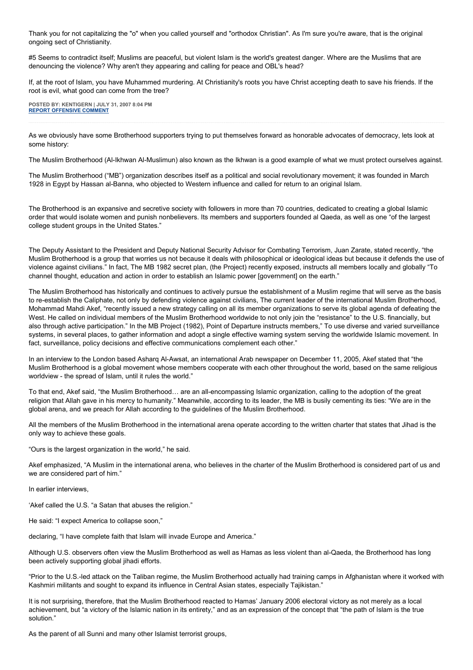Thank you for not capitalizing the "o" when you called yourself and "orthodox Christian". As I'm sure you're aware, that is the original ongoing sect of Christianity.

#5 Seems to contradict itself; Muslims are peaceful, but violent Islam is the world's greatest danger. Where are the Muslims that are denouncing the violence? Why aren't they appearing and calling for peace and OBL's head?

If, at the root of Islam, you have Muhammed murdering. At Christianity's roots you have Christ accepting death to save his friends. If the root is evil, what good can come from the tree?

**POSTED BY: KENTIGERN | JULY 31, 2007 8:04 PM [REPORT OFFENSIVE COMMENT](mailto:blogs@washingtonpost.com?subject=On%20Faith%20Panelists%20Blog%20%20%7C%20%20Kentigern%20%20%7C%20%20)**

As we obviously have some Brotherhood supporters trying to put themselves forward as honorable advocates of democracy, lets look at some history:

The Muslim Brotherhood (Al-Ikhwan Al-Muslimun) also known as the Ikhwan is a good example of what we must protect ourselves against.

The Muslim Brotherhood ("MB") organization describes itself as a political and social revolutionary movement; it was founded in March 1928 in Egypt by Hassan al-Banna, who objected to Western influence and called for return to an original Islam.

The Brotherhood is an expansive and secretive society with followers in more than 70 countries, dedicated to creating a global Islamic order that would isolate women and punish nonbelievers. Its members and supporters founded al Qaeda, as well as one "of the largest college student groups in the United States."

The Deputy Assistant to the President and Deputy National Security Advisor for Combating Terrorism, Juan Zarate, stated recently, "the Muslim Brotherhood is a group that worries us not because it deals with philosophical or ideological ideas but because it defends the use of violence against civilians." In fact, The MB 1982 secret plan, (the Project) recently exposed, instructs all members locally and globally "To channel thought, education and action in order to establish an Islamic power [government] on the earth."

The Muslim Brotherhood has historically and continues to actively pursue the establishment of a Muslim regime that will serve as the basis to re-establish the Caliphate, not only by defending violence against civilians, The current leader of the international Muslim Brotherhood, Mohammad Mahdi Akef, "recently issued a new strategy calling on all its member organizations to serve its global agenda of defeating the West. He called on individual members of the Muslim Brotherhood worldwide to not only join the "resistance" to the U.S. financially, but also through active participation." In the MB Project (1982), Point of Departure instructs members," To use diverse and varied surveillance systems, in several places, to gather information and adopt a single effective warning system serving the worldwide Islamic movement. In fact, surveillance, policy decisions and effective communications complement each other."

In an interview to the London based Asharq Al-Awsat, an international Arab newspaper on December 11, 2005, Akef stated that "the Muslim Brotherhood is a global movement whose members cooperate with each other throughout the world, based on the same religious worldview - the spread of Islam, until it rules the world."

To that end, Akef said, "the Muslim Brotherhood… are an all-encompassing Islamic organization, calling to the adoption of the great religion that Allah gave in his mercy to humanity." Meanwhile, according to its leader, the MB is busily cementing its ties: "We are in the global arena, and we preach for Allah according to the guidelines of the Muslim Brotherhood.

All the members of the Muslim Brotherhood in the international arena operate according to the written charter that states that Jihad is the only way to achieve these goals.

"Ours is the largest organization in the world," he said.

Akef emphasized, "A Muslim in the international arena, who believes in the charter of the Muslim Brotherhood is considered part of us and we are considered part of him."

In earlier interviews,

'Akef called the U.S. "a Satan that abuses the religion."

He said: "I expect America to collapse soon,"

declaring, "I have complete faith that Islam will invade Europe and America."

Although U.S. observers often view the Muslim Brotherhood as well as Hamas as less violent than al-Qaeda, the Brotherhood has long been actively supporting global jihadi efforts.

"Prior to the U.S.-led attack on the Taliban regime, the Muslim Brotherhood actually had training camps in Afghanistan where it worked with Kashmiri militants and sought to expand its influence in Central Asian states, especially Tajikistan."

It is not surprising, therefore, that the Muslim Brotherhood reacted to Hamas' January 2006 electoral victory as not merely as a local achievement, but "a victory of the Islamic nation in its entirety," and as an expression of the concept that "the path of Islam is the true solution."

As the parent of all Sunni and many other Islamist terrorist groups,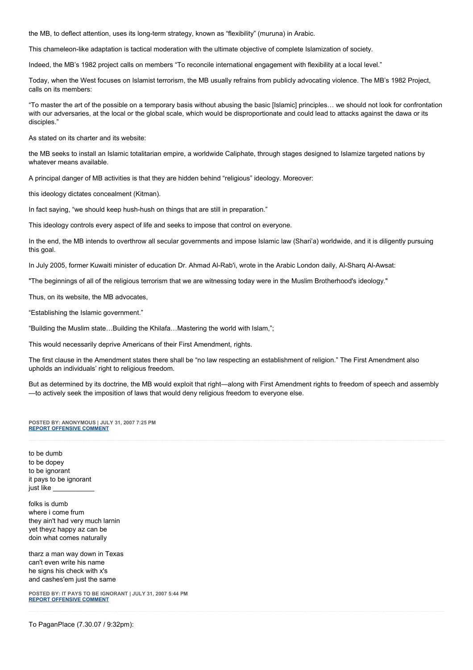the MB, to deflect attention, uses its long-term strategy, known as "flexibility" (muruna) in Arabic.

This chameleon-like adaptation is tactical moderation with the ultimate objective of complete Islamization of society.

Indeed, the MB's 1982 project calls on members "To reconcile international engagement with flexibility at a local level."

Today, when the West focuses on Islamist terrorism, the MB usually refrains from publicly advocating violence. The MB's 1982 Project, calls on its members:

"To master the art of the possible on a temporary basis without abusing the basic [Islamic] principles… we should not look for confrontation with our adversaries, at the local or the global scale, which would be disproportionate and could lead to attacks against the dawa or its disciples."

As stated on its charter and its website:

the MB seeks to install an Islamic totalitarian empire, a worldwide Caliphate, through stages designed to Islamize targeted nations by whatever means available.

A principal danger of MB activities is that they are hidden behind "religious" ideology. Moreover:

this ideology dictates concealment (Kitman).

In fact saying, "we should keep hush-hush on things that are still in preparation."

This ideology controls every aspect of life and seeks to impose that control on everyone.

In the end, the MB intends to overthrow all secular governments and impose Islamic law (Shari'a) worldwide, and it is diligently pursuing this goal.

In July 2005, former Kuwaiti minister of education Dr. Ahmad Al-Rab'i, wrote in the Arabic London daily, Al-Sharq Al-Awsat:

"The beginnings of all of the religious terrorism that we are witnessing today were in the Muslim Brotherhood's ideology."

Thus, on its website, the MB advocates,

"Establishing the Islamic government."

"Building the Muslim state…Building the Khilafa…Mastering the world with Islam,";

This would necessarily deprive Americans of their First Amendment, rights.

The first clause in the Amendment states there shall be "no law respecting an establishment of religion." The First Amendment also upholds an individuals' right to religious freedom.

But as determined by its doctrine, the MB would exploit that right—along with First Amendment rights to freedom of speech and assembly —to actively seek the imposition of laws that would deny religious freedom to everyone else.

**POSTED BY: ANONYMOUS | JULY 31, 2007 7:25 PM [REPORT OFFENSIVE COMMENT](mailto:blogs@washingtonpost.com?subject=On%20Faith%20Panelists%20Blog%20%20%7C%20%20Anonymous%20%20%7C%20%20)**

to be dumb to be dopey to be ignorant it pays to be ignorant just like \_\_\_\_\_\_\_\_\_\_\_

folks is dumb where i come frum they ain't had very much larnin yet theyz happy az can be doin what comes naturally

tharz a man way down in Texas can't even write his name he signs his check with x's and cashes'em just the same

**POSTED BY: IT PAYS TO BE IGNORANT | JULY 31, 2007 5:44 PM [REPORT OFFENSIVE COMMENT](mailto:blogs@washingtonpost.com?subject=On%20Faith%20Panelists%20Blog%20%20%7C%20%20It%20pays%20to%20be%20ignorant%20%20%7C%20%20)**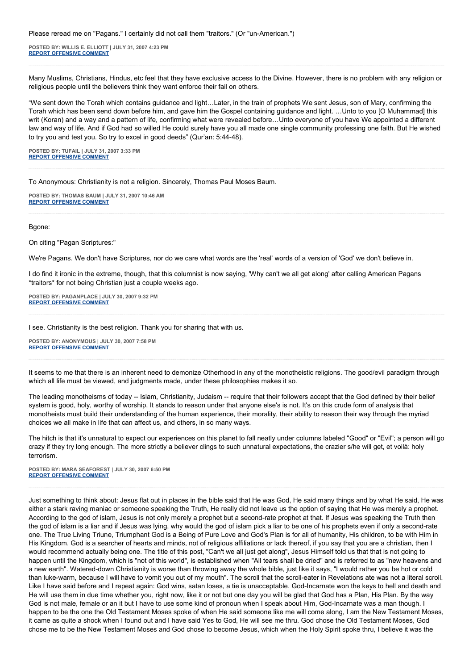Please reread me on "Pagans." I certainly did not call them "traitors." (Or "un-American.")

**POSTED BY: WILLIS E. ELLIOTT | JULY 31, 2007 4:23 PM [REPORT OFFENSIVE COMMENT](mailto:blogs@washingtonpost.com?subject=On%20Faith%20Panelists%20Blog%20%20%7C%20%20Willis%20E.%20Elliott%20%20%7C%20%20)**

Many Muslims, Christians, Hindus, etc feel that they have exclusive access to the Divine. However, there is no problem with any religion or religious people until the believers think they want enforce their fail on others.

"We sent down the Torah which contains guidance and light…Later, in the train of prophets We sent Jesus, son of Mary, confirming the Torah which has been send down before him, and gave him the Gospel containing guidance and light. …Unto to you [O Muhammad] this writ (Koran) and a way and a pattern of life, confirming what were revealed before…Unto everyone of you have We appointed a different law and way of life. And if God had so willed He could surely have you all made one single community professing one faith. But He wished to try you and test you. So try to excel in good deeds" (Qur'an: 5:44-48).

**POSTED BY: TUFAIL | JULY 31, 2007 3:33 PM [REPORT OFFENSIVE COMMENT](mailto:blogs@washingtonpost.com?subject=On%20Faith%20Panelists%20Blog%20%20%7C%20%20tufail%20%20%7C%20%20)**

To Anonymous: Christianity is not a religion. Sincerely, Thomas Paul Moses Baum.

**POSTED BY: THOMAS BAUM | JULY 31, 2007 10:46 AM [REPORT OFFENSIVE COMMENT](mailto:blogs@washingtonpost.com?subject=On%20Faith%20Panelists%20Blog%20%20%7C%20%20Thomas%20Baum%20%20%7C%20%20)**

Bgone:

On citing "Pagan Scriptures:"

We're Pagans. We don't have Scriptures, nor do we care what words are the 'real' words of a version of 'God' we don't believe in.

I do find it ironic in the extreme, though, that this columnist is now saying, 'Why can't we all get along' after calling American Pagans \*traitors\* for not being Christian just a couple weeks ago.

**POSTED BY: PAGANPLACE | JULY 30, 2007 9:32 PM [REPORT OFFENSIVE COMMENT](mailto:blogs@washingtonpost.com?subject=On%20Faith%20Panelists%20Blog%20%20%7C%20%20Paganplace%20%20%7C%20%20)**

I see. Christianity is the best religion. Thank you for sharing that with us.

**POSTED BY: ANONYMOUS | JULY 30, 2007 7:58 PM [REPORT OFFENSIVE COMMENT](mailto:blogs@washingtonpost.com?subject=On%20Faith%20Panelists%20Blog%20%20%7C%20%20Anonymous%20%20%7C%20%20)**

It seems to me that there is an inherent need to demonize Otherhood in any of the monotheistic religions. The good/evil paradigm through which all life must be viewed, and judgments made, under these philosophies makes it so.

The leading monotheisms of today -- Islam, Christianity, Judaism -- require that their followers accept that the God defined by their belief system is good, holy, worthy of worship. It stands to reason under that anyone else's is not. It's on this crude form of analysis that monotheists must build their understanding of the human experience, their morality, their ability to reason their way through the myriad choices we all make in life that can affect us, and others, in so many ways.

The hitch is that it's unnatural to expect our experiences on this planet to fall neatly under columns labeled "Good" or "Evil"; a person will go crazy if they try long enough. The more strictly a believer clings to such unnatural expectations, the crazier s/he will get, et voilà: holy terrorism.

**POSTED BY: MARA SEAFOREST | JULY 30, 2007 6:50 PM [REPORT OFFENSIVE COMMENT](mailto:blogs@washingtonpost.com?subject=On%20Faith%20Panelists%20Blog%20%20%7C%20%20Mara%20Seaforest%20%20%7C%20%20)**

Just something to think about: Jesus flat out in places in the bible said that He was God, He said many things and by what He said, He was either a stark raving maniac or someone speaking the Truth, He really did not leave us the option of saying that He was merely a prophet. According to the god of islam, Jesus is not only merely a prophet but a second-rate prophet at that. If Jesus was speaking the Truth then the god of islam is a liar and if Jesus was lying, why would the god of islam pick a liar to be one of his prophets even if only a second-rate one. The True Living Triune, Triumphant God is a Being of Pure Love and God's Plan is for all of humanity, His children, to be with Him in His Kingdom. God is a searcher of hearts and minds, not of religious affiliations or lack thereof, if you say that you are a christian, then I would recommend actually being one. The title of this post, "Can't we all just get along", Jesus Himself told us that that is not going to happen until the Kingdom, which is "not of this world", is established when "All tears shall be dried" and is referred to as "new heavens and a new earth". Watered-down Christianity is worse than throwing away the whole bible, just like it says, "I would rather you be hot or cold than luke-warm, because I will have to vomit you out of my mouth". The scroll that the scroll-eater in Revelations ate was not a literal scroll. Like I have said before and I repeat again: God wins, satan loses, a tie is unacceptable. God-Incarnate won the keys to hell and death and He will use them in due time whether you, right now, like it or not but one day you will be glad that God has a Plan, His Plan. By the way God is not male, female or an it but I have to use some kind of pronoun when I speak about Him, God-Incarnate was a man though. I happen to be the one the Old Testament Moses spoke of when He said someone like me will come along, I am the New Testament Moses, it came as quite a shock when I found out and I have said Yes to God, He will see me thru. God chose the Old Testament Moses, God chose me to be the New Testament Moses and God chose to become Jesus, which when the Holy Spirit spoke thru, I believe it was the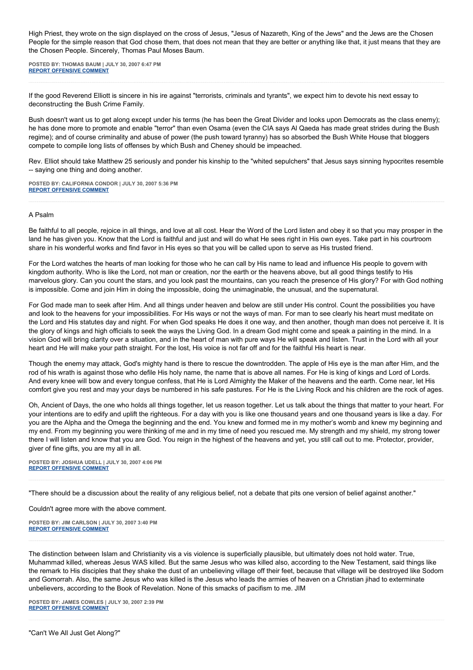High Priest, they wrote on the sign displayed on the cross of Jesus, "Jesus of Nazareth, King of the Jews" and the Jews are the Chosen People for the simple reason that God chose them, that does not mean that they are better or anything like that, it just means that they are the Chosen People. Sincerely, Thomas Paul Moses Baum.

**POSTED BY: THOMAS BAUM | JULY 30, 2007 6:47 PM [REPORT OFFENSIVE COMMENT](mailto:blogs@washingtonpost.com?subject=On%20Faith%20Panelists%20Blog%20%20%7C%20%20Thomas%20Baum%20%20%7C%20%20)**

If the good Reverend Elliott is sincere in his ire against "terrorists, criminals and tyrants", we expect him to devote his next essay to deconstructing the Bush Crime Family.

Bush doesn't want us to get along except under his terms (he has been the Great Divider and looks upon Democrats as the class enemy); he has done more to promote and enable "terror" than even Osama (even the CIA says Al Qaeda has made great strides during the Bush regime); and of course criminality and abuse of power (the push toward tyranny) has so absorbed the Bush White House that bloggers compete to compile long lists of offenses by which Bush and Cheney should be impeached.

Rev. Elliot should take Matthew 25 seriously and ponder his kinship to the "whited sepulchers" that Jesus says sinning hypocrites resemble -- saying one thing and doing another.

**POSTED BY: CALIFORNIA CONDOR | JULY 30, 2007 5:36 PM [REPORT OFFENSIVE COMMENT](mailto:blogs@washingtonpost.com?subject=On%20Faith%20Panelists%20Blog%20%20%7C%20%20california%20condor%20%20%7C%20%20)**

## A Psalm

Be faithful to all people, rejoice in all things, and love at all cost. Hear the Word of the Lord listen and obey it so that you may prosper in the land he has given you. Know that the Lord is faithful and just and will do what He sees right in His own eyes. Take part in his courtroom share in his wonderful works and find favor in His eyes so that you will be called upon to serve as His trusted friend.

For the Lord watches the hearts of man looking for those who he can call by His name to lead and influence His people to govern with kingdom authority. Who is like the Lord, not man or creation, nor the earth or the heavens above, but all good things testify to His marvelous glory. Can you count the stars, and you look past the mountains, can you reach the presence of His glory? For with God nothing is impossible. Come and join Him in doing the impossible, doing the unimaginable, the unusual, and the supernatural.

For God made man to seek after Him. And all things under heaven and below are still under His control. Count the possibilities you have and look to the heavens for your impossibilities. For His ways or not the ways of man. For man to see clearly his heart must meditate on the Lord and His statutes day and night. For when God speaks He does it one way, and then another, though man does not perceive it. It is the glory of kings and high officials to seek the ways the Living God. In a dream God might come and speak a painting in the mind. In a vision God will bring clarity over a situation, and in the heart of man with pure ways He will speak and listen. Trust in the Lord with all your heart and He will make your path straight. For the lost, His voice is not far off and for the faithful His heart is near.

Though the enemy may attack, God's mighty hand is there to rescue the downtrodden. The apple of His eye is the man after Him, and the rod of his wrath is against those who defile His holy name, the name that is above all names. For He is king of kings and Lord of Lords. And every knee will bow and every tongue confess, that He is Lord Almighty the Maker of the heavens and the earth. Come near, let His comfort give you rest and may your days be numbered in his safe pastures. For He is the Living Rock and his children are the rock of ages.

Oh, Ancient of Days, the one who holds all things together, let us reason together. Let us talk about the things that matter to your heart. For your intentions are to edify and uplift the righteous. For a day with you is like one thousand years and one thousand years is like a day. For you are the Alpha and the Omega the beginning and the end. You knew and formed me in my mother's womb and knew my beginning and my end. From my beginning you were thinking of me and in my time of need you rescued me. My strength and my shield, my strong tower there I will listen and know that you are God. You reign in the highest of the heavens and yet, you still call out to me. Protector, provider, giver of fine gifts, you are my all in all.

**POSTED BY: JOSHUA UDELL | JULY 30, 2007 4:06 PM [REPORT OFFENSIVE COMMENT](mailto:blogs@washingtonpost.com?subject=On%20Faith%20Panelists%20Blog%20%20%7C%20%20Joshua%20Udell%20%20%7C%20%20)**

"There should be a discussion about the reality of any religious belief, not a debate that pits one version of belief against another."

Couldn't agree more with the above comment.

**POSTED BY: JIM CARLSON | JULY 30, 2007 3:40 PM [REPORT OFFENSIVE COMMENT](mailto:blogs@washingtonpost.com?subject=On%20Faith%20Panelists%20Blog%20%20%7C%20%20Jim%20Carlson%20%20%7C%20%20)**

The distinction between Islam and Christianity vis a vis violence is superficially plausible, but ultimately does not hold water. True, Muhammad killed, whereas Jesus WAS killed. But the same Jesus who was killed also, according to the New Testament, said things like the remark to His disciples that they shake the dust of an unbelieving village off their feet, because that village will be destroyed like Sodom and Gomorrah. Also, the same Jesus who was killed is the Jesus who leads the armies of heaven on a Christian jihad to exterminate unbelievers, according to the Book of Revelation. None of this smacks of pacifism to me. JIM

**POSTED BY: JAMES COWLES | JULY 30, 2007 2:39 PM [REPORT OFFENSIVE COMMENT](mailto:blogs@washingtonpost.com?subject=On%20Faith%20Panelists%20Blog%20%20%7C%20%20James%20Cowles%20%20%7C%20%20)**